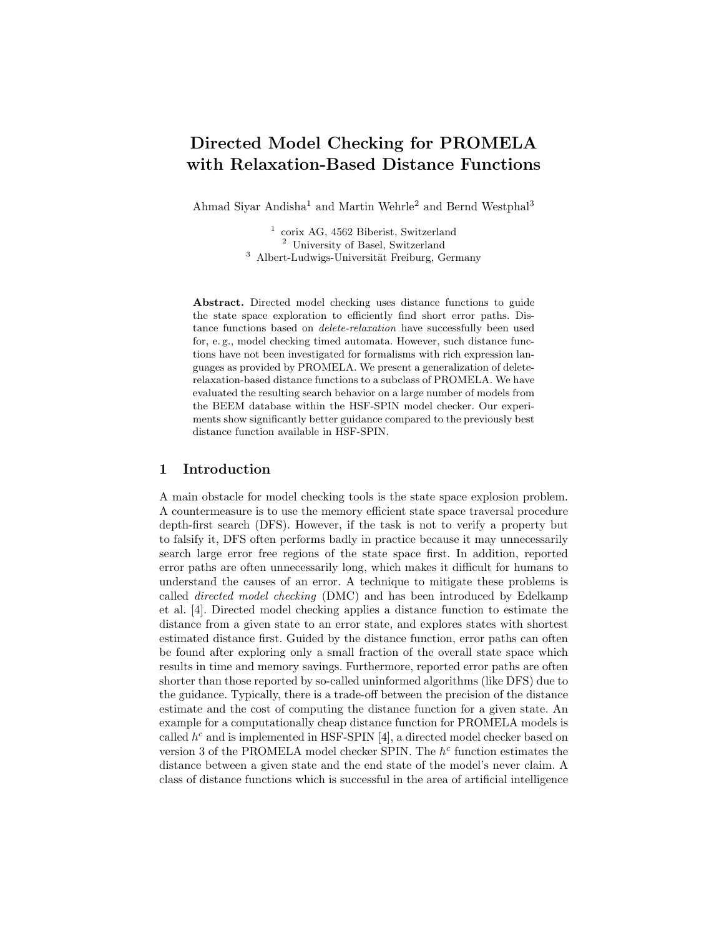# Directed Model Checking for PROMELA with Relaxation-Based Distance Functions

Ahmad Siyar Andisha<sup>1</sup> and Martin Wehrle<sup>2</sup> and Bernd Westphal<sup>3</sup>

<sup>1</sup> corix AG, 4562 Biberist, Switzerland <sup>2</sup> University of Basel, Switzerland <sup>3</sup> Albert-Ludwigs-Universität Freiburg, Germany

Abstract. Directed model checking uses distance functions to guide the state space exploration to efficiently find short error paths. Distance functions based on *delete-relaxation* have successfully been used for, e. g., model checking timed automata. However, such distance functions have not been investigated for formalisms with rich expression languages as provided by PROMELA. We present a generalization of deleterelaxation-based distance functions to a subclass of PROMELA. We have evaluated the resulting search behavior on a large number of models from the BEEM database within the HSF-SPIN model checker. Our experiments show significantly better guidance compared to the previously best distance function available in HSF-SPIN.

### 1 Introduction

A main obstacle for model checking tools is the state space explosion problem. A countermeasure is to use the memory efficient state space traversal procedure depth-first search (DFS). However, if the task is not to verify a property but to falsify it, DFS often performs badly in practice because it may unnecessarily search large error free regions of the state space first. In addition, reported error paths are often unnecessarily long, which makes it difficult for humans to understand the causes of an error. A technique to mitigate these problems is called directed model checking (DMC) and has been introduced by Edelkamp et al. [4]. Directed model checking applies a distance function to estimate the distance from a given state to an error state, and explores states with shortest estimated distance first. Guided by the distance function, error paths can often be found after exploring only a small fraction of the overall state space which results in time and memory savings. Furthermore, reported error paths are often shorter than those reported by so-called uninformed algorithms (like DFS) due to the guidance. Typically, there is a trade-off between the precision of the distance estimate and the cost of computing the distance function for a given state. An example for a computationally cheap distance function for PROMELA models is called  $h^c$  and is implemented in HSF-SPIN [4], a directed model checker based on version 3 of the PROMELA model checker SPIN. The  $h^c$  function estimates the distance between a given state and the end state of the model's never claim. A class of distance functions which is successful in the area of artificial intelligence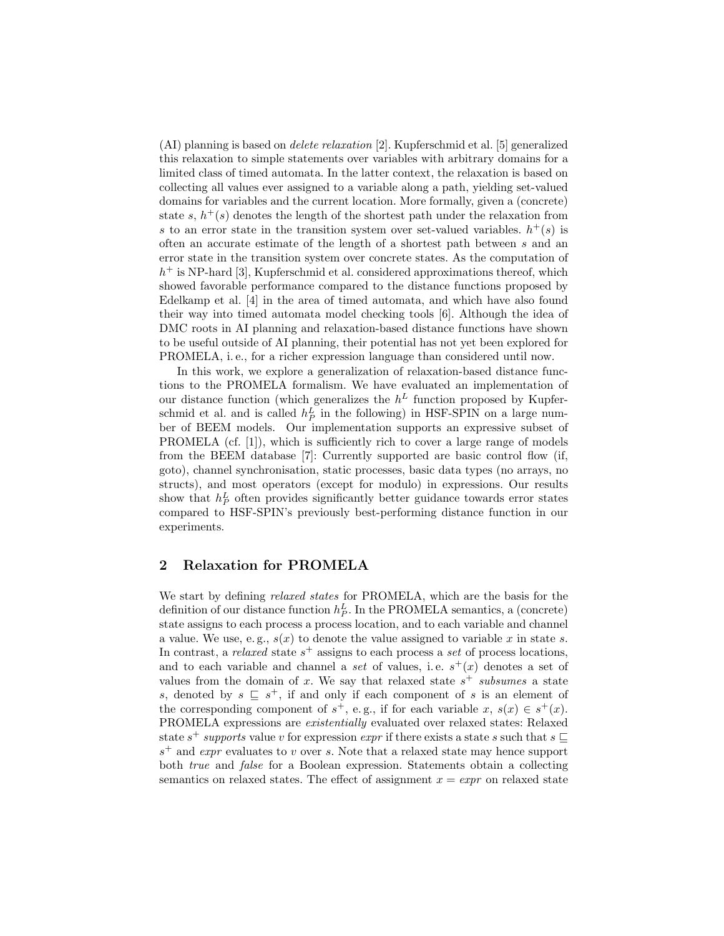(AI) planning is based on delete relaxation [2]. Kupferschmid et al. [5] generalized this relaxation to simple statements over variables with arbitrary domains for a limited class of timed automata. In the latter context, the relaxation is based on collecting all values ever assigned to a variable along a path, yielding set-valued domains for variables and the current location. More formally, given a (concrete) state s,  $h^+(s)$  denotes the length of the shortest path under the relaxation from s to an error state in the transition system over set-valued variables.  $h^+(s)$  is often an accurate estimate of the length of a shortest path between s and an error state in the transition system over concrete states. As the computation of  $h<sup>+</sup>$  is NP-hard [3], Kupferschmid et al. considered approximations thereof, which showed favorable performance compared to the distance functions proposed by Edelkamp et al. [4] in the area of timed automata, and which have also found their way into timed automata model checking tools [6]. Although the idea of DMC roots in AI planning and relaxation-based distance functions have shown to be useful outside of AI planning, their potential has not yet been explored for PROMELA, i. e., for a richer expression language than considered until now.

In this work, we explore a generalization of relaxation-based distance functions to the PROMELA formalism. We have evaluated an implementation of our distance function (which generalizes the  $h<sup>L</sup>$  function proposed by Kupferschmid et al. and is called  $h_P^L$  in the following) in HSF-SPIN on a large number of BEEM models. Our implementation supports an expressive subset of PROMELA (cf. [1]), which is sufficiently rich to cover a large range of models from the BEEM database [7]: Currently supported are basic control flow (if, goto), channel synchronisation, static processes, basic data types (no arrays, no structs), and most operators (except for modulo) in expressions. Our results show that  $h_P^L$  often provides significantly better guidance towards error states compared to HSF-SPIN's previously best-performing distance function in our experiments.

### 2 Relaxation for PROMELA

We start by defining relaxed states for PROMELA, which are the basis for the definition of our distance function  $h_P^L$ . In the PROMELA semantics, a (concrete) state assigns to each process a process location, and to each variable and channel a value. We use, e.g.,  $s(x)$  to denote the value assigned to variable x in state s. In contrast, a *relaxed* state  $s^+$  assigns to each process a *set* of process locations, and to each variable and channel a set of values, i.e.  $s^+(x)$  denotes a set of values from the domain of x. We say that relaxed state  $s^+$  subsumes a state s, denoted by  $s \subseteq s^+$ , if and only if each component of s is an element of the corresponding component of  $s^+$ , e.g., if for each variable  $x, s(x) \in s^+(x)$ . PROMELA expressions are existentially evaluated over relaxed states: Relaxed state  $s^+$  supports value v for expression expr if there exists a state s such that  $s \sqsubseteq$  $s^+$  and *expr* evaluates to v over s. Note that a relaxed state may hence support both true and false for a Boolean expression. Statements obtain a collecting semantics on relaxed states. The effect of assignment  $x = \exp r$  on relaxed state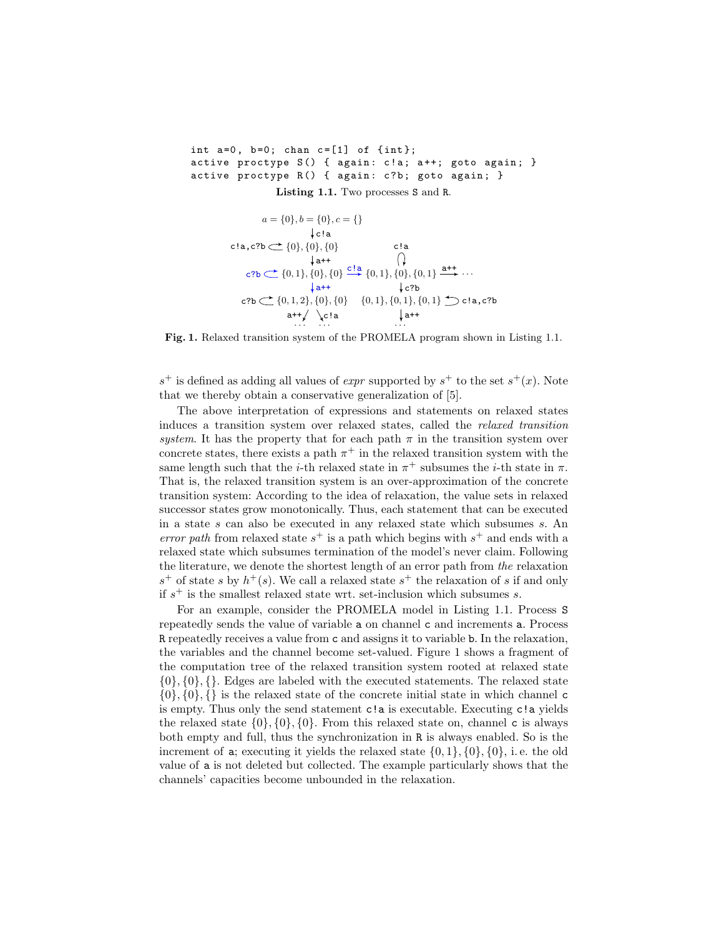```
int a=0, b=0; chan c=[1] of \{int\};
active proctype S() { again: c!a; a++; goto again; }
active proctype R() { again: c?b; goto again; }
             Listing 1.1. Two processes S and R.
```

$$
a = \{0\}, b = \{0\}, c = \{\}
$$
\n
$$
\downarrow c!a
$$
\nc!a, c?b  $\leftarrow$  {0}, {0}, {0}\nc!a  
\nc?b  $\leftarrow$  {0,1}, {0}, {0} \xrightarrow{c!a}\n
$$
\downarrow a
$$
\n
$$
\downarrow a
$$
\n
$$
\downarrow a
$$
\n
$$
\downarrow b
$$
\n
$$
\downarrow c
$$
\n
$$
\downarrow c
$$
\n
$$
\downarrow c
$$
\n
$$
\downarrow c
$$
\n
$$
\downarrow c
$$
\n
$$
\downarrow c
$$
\n
$$
\downarrow c
$$
\n
$$
\downarrow c
$$
\n
$$
\downarrow c
$$
\n
$$
\downarrow c
$$
\n
$$
\downarrow c
$$
\n
$$
\downarrow c
$$
\n
$$
\downarrow c
$$
\n
$$
\downarrow c
$$
\n
$$
\downarrow c
$$
\n
$$
\downarrow c
$$
\n
$$
\downarrow c
$$
\n
$$
\downarrow c
$$
\n
$$
\downarrow c
$$
\n
$$
\downarrow c
$$
\n
$$
\downarrow c
$$
\n
$$
\downarrow c
$$
\n
$$
\downarrow c
$$
\n
$$
\downarrow c
$$
\n
$$
\downarrow c
$$
\n
$$
\downarrow c
$$
\n
$$
\downarrow c
$$
\n
$$
\downarrow c
$$
\n
$$
\downarrow c
$$
\n
$$
\downarrow c
$$
\n
$$
\downarrow c
$$
\n
$$
\downarrow c
$$
\n
$$
\downarrow c
$$
\n
$$
\downarrow c
$$
\n
$$
\downarrow c
$$
\n
$$
\downarrow c
$$
\n
$$
\downarrow c
$$
\n
$$
\downarrow c
$$
\n
$$
\downarrow c
$$
\n
$$
\downarrow c
$$
\n
$$
\downarrow c
$$
\n
$$
\downarrow c
$$
\n
$$
\downarrow c
$$
\n
$$
\downarrow c
$$
\n
$$
\downarrow c
$$
\n
$$
\downarrow c
$$
\n
$$
\downarrow c
$$

Fig. 1. Relaxed transition system of the PROMELA program shown in Listing 1.1.

 $s^+$  is defined as adding all values of *expr* supported by  $s^+$  to the set  $s^+(x)$ . Note that we thereby obtain a conservative generalization of [5].

The above interpretation of expressions and statements on relaxed states induces a transition system over relaxed states, called the relaxed transition system. It has the property that for each path  $\pi$  in the transition system over concrete states, there exists a path  $\pi^+$  in the relaxed transition system with the same length such that the *i*-th relaxed state in  $\pi^+$  subsumes the *i*-th state in  $\pi$ . That is, the relaxed transition system is an over-approximation of the concrete transition system: According to the idea of relaxation, the value sets in relaxed successor states grow monotonically. Thus, each statement that can be executed in a state s can also be executed in any relaxed state which subsumes s. An error path from relaxed state  $s^+$  is a path which begins with  $s^+$  and ends with a relaxed state which subsumes termination of the model's never claim. Following the literature, we denote the shortest length of an error path from the relaxation  $s^+$  of state s by  $h^+(s)$ . We call a relaxed state  $s^+$  the relaxation of s if and only if  $s^+$  is the smallest relaxed state wrt. set-inclusion which subsumes s.

For an example, consider the PROMELA model in Listing 1.1. Process S repeatedly sends the value of variable a on channel c and increments a. Process R repeatedly receives a value from c and assigns it to variable b. In the relaxation, the variables and the channel become set-valued. Figure 1 shows a fragment of the computation tree of the relaxed transition system rooted at relaxed state  $\{0\}, \{0\}, \{\}.$  Edges are labeled with the executed statements. The relaxed state  $\{0\}, \{0\}, \{\}\$ is the relaxed state of the concrete initial state in which channel c is empty. Thus only the send statement c!a is executable. Executing c!a yields the relaxed state  $\{0\}, \{0\}, \{0\}$ . From this relaxed state on, channel c is always both empty and full, thus the synchronization in R is always enabled. So is the increment of **a**; executing it yields the relaxed state  $\{0,1\}$ ,  $\{0\}$ ,  $\{0\}$ , i.e. the old value of a is not deleted but collected. The example particularly shows that the channels' capacities become unbounded in the relaxation.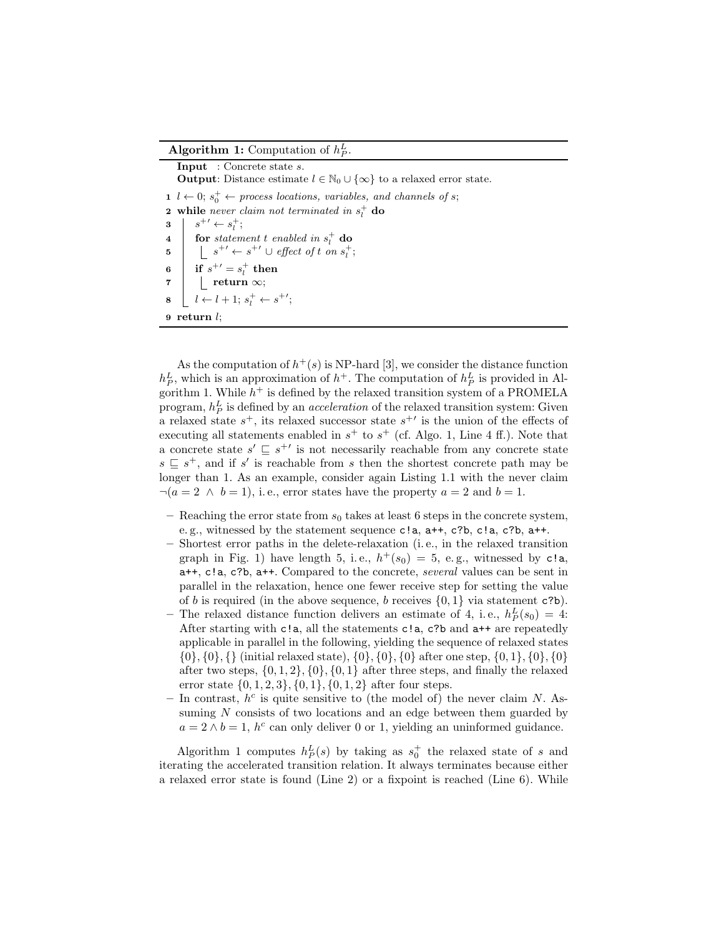## Algorithm 1: Computation of  $h_P^L$ .

Input : Concrete state s. **Output:** Distance estimate  $l \in \mathbb{N}_0 \cup \{\infty\}$  to a relaxed error state. 1  $l \leftarrow 0; s_0^+ \leftarrow process locations, variables, and channels of s;$ **2** while never claim not terminated in  $s_i^+$  do  $3 \mid s^{+\prime} \leftarrow s_l^{+}$ ; 4 **for** statement t enabled in  $s_l^+$  do 5  $\Big| \Big| s^{+\prime} \leftarrow s^{+\prime} \cup \text{effect of } t \text{ on } s_t^+;$ 6 if  $s^{+'}=s^+_l$  then  $7$  | return  $\infty;$  $8 \mid l \leftarrow l + 1; s_l^+ \leftarrow s^{+\prime};$ 9 return l;

As the computation of  $h^+(s)$  is NP-hard [3], we consider the distance function  $h_P^L$ , which is an approximation of  $h^+$ . The computation of  $h_P^L$  is provided in Algorithm 1. While  $h^+$  is defined by the relaxed transition system of a PROMELA program,  $h_P^L$  is defined by an *acceleration* of the relaxed transition system: Given a relaxed state  $s^+$ , its relaxed successor state  $s^{+'}$  is the union of the effects of executing all statements enabled in  $s^+$  to  $s^+$  (cf. Algo. 1, Line 4 ff.). Note that a concrete state  $s' \subseteq s^{+'}$  is not necessarily reachable from any concrete state  $s \subseteq s^+$ , and if s' is reachable from s then the shortest concrete path may be longer than 1. As an example, consider again Listing 1.1 with the never claim  $\neg(a=2 \land b=1), i.e.,$  error states have the property  $a=2$  and  $b=1$ .

- Reaching the error state from  $s_0$  takes at least 6 steps in the concrete system, e. g., witnessed by the statement sequence c!a, a++, c?b, c!a, c?b, a++.
- Shortest error paths in the delete-relaxation (i. e., in the relaxed transition graph in Fig. 1) have length 5, i.e.,  $h^+(s_0) = 5$ , e.g., witnessed by c!a, a++, c!a, c?b, a++. Compared to the concrete, several values can be sent in parallel in the relaxation, hence one fewer receive step for setting the value of b is required (in the above sequence, b receives  $\{0,1\}$  via statement c?b).
- The relaxed distance function delivers an estimate of 4, i.e.,  $h_P^L(s_0) = 4$ : After starting with c!a, all the statements c!a, c?b and a++ are repeatedly applicable in parallel in the following, yielding the sequence of relaxed states  $\{0\}, \{0\}, \{\}$  (initial relaxed state),  $\{0\}, \{0\}, \{0\}$  after one step,  $\{0, 1\}, \{0\}, \{0\}$ after two steps,  $\{0, 1, 2\}, \{0\}, \{0, 1\}$  after three steps, and finally the relaxed error state  $\{0, 1, 2, 3\}, \{0, 1\}, \{0, 1, 2\}$  after four steps.
- In contrast,  $h^c$  is quite sensitive to (the model of) the never claim N. Assuming  $N$  consists of two locations and an edge between them guarded by  $a = 2 \wedge b = 1$ ,  $h^c$  can only deliver 0 or 1, yielding an uninformed guidance.

Algorithm 1 computes  $h_P^L(s)$  by taking as  $s_0^+$  the relaxed state of s and iterating the accelerated transition relation. It always terminates because either a relaxed error state is found (Line 2) or a fixpoint is reached (Line 6). While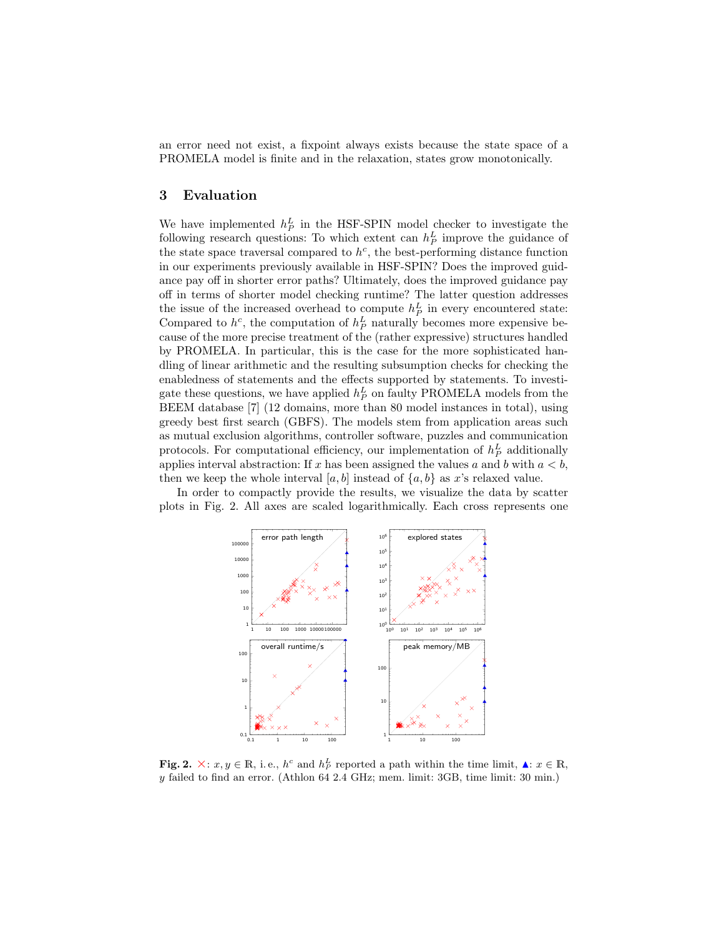an error need not exist, a fixpoint always exists because the state space of a PROMELA model is finite and in the relaxation, states grow monotonically.

### 3 Evaluation

We have implemented  $h_P^L$  in the HSF-SPIN model checker to investigate the following research questions: To which extent can  $h_P^L$  improve the guidance of the state space traversal compared to  $h^c$ , the best-performing distance function in our experiments previously available in HSF-SPIN? Does the improved guidance pay off in shorter error paths? Ultimately, does the improved guidance pay off in terms of shorter model checking runtime? The latter question addresses the issue of the increased overhead to compute  $h_P^L$  in every encountered state: Compared to  $h^c$ , the computation of  $h^L$  naturally becomes more expensive because of the more precise treatment of the (rather expressive) structures handled by PROMELA. In particular, this is the case for the more sophisticated handling of linear arithmetic and the resulting subsumption checks for checking the enabledness of statements and the effects supported by statements. To investigate these questions, we have applied  $h_P^L$  on faulty PROMELA models from the BEEM database [7] (12 domains, more than 80 model instances in total), using greedy best first search (GBFS). The models stem from application areas such as mutual exclusion algorithms, controller software, puzzles and communication protocols. For computational efficiency, our implementation of  $h_P^L$  additionally applies interval abstraction: If x has been assigned the values a and b with  $a < b$ , then we keep the whole interval [a, b] instead of  $\{a, b\}$  as x's relaxed value.

In order to compactly provide the results, we visualize the data by scatter plots in Fig. 2. All axes are scaled logarithmically. Each cross represents one



**Fig. 2.**  $\times: x, y \in \mathbb{R}$ , i.e.,  $h^c$  and  $h^L$  reported a path within the time limit,  $\blacktriangle: x \in \mathbb{R}$ , y failed to find an error. (Athlon 64 2.4 GHz; mem. limit: 3GB, time limit: 30 min.)